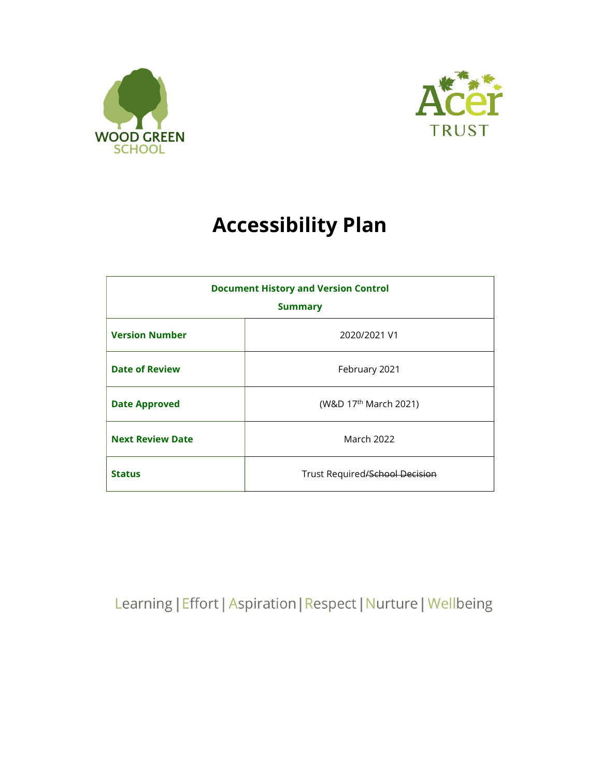



# Accessibility Plan

| <b>Document History and Version Control</b><br><b>Summary</b> |                                   |  |  |  |  |  |
|---------------------------------------------------------------|-----------------------------------|--|--|--|--|--|
|                                                               |                                   |  |  |  |  |  |
| <b>Version Number</b><br>2020/2021 V1                         |                                   |  |  |  |  |  |
| <b>Date of Review</b><br>February 2021                        |                                   |  |  |  |  |  |
| <b>Date Approved</b>                                          | (W&D 17 <sup>th</sup> March 2021) |  |  |  |  |  |
| <b>Next Review Date</b>                                       | <b>March 2022</b>                 |  |  |  |  |  |
| <b>Status</b>                                                 | Trust Required/School Decision    |  |  |  |  |  |

Learning | Effort | Aspiration | Respect | Nurture | Wellbeing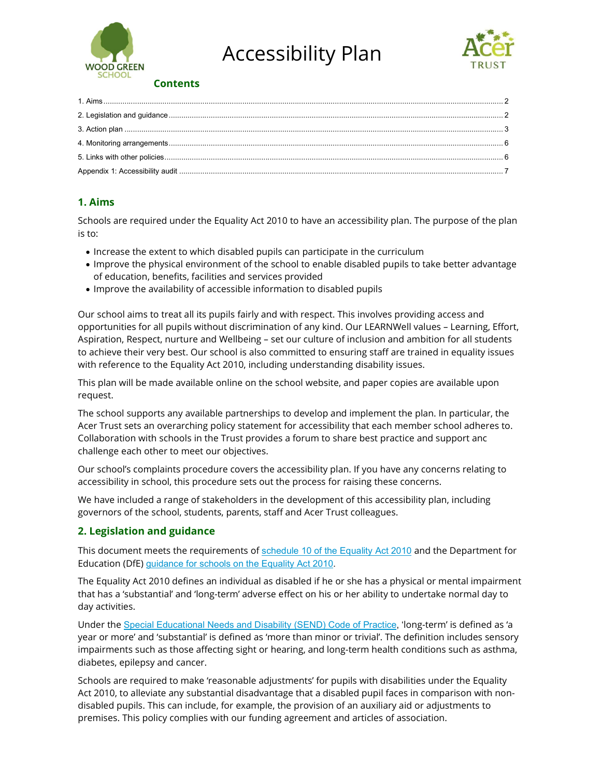![](_page_1_Picture_0.jpeg)

Accessibility Plan

![](_page_1_Picture_2.jpeg)

**Contents** 

| 1 Aims |  |
|--------|--|
|        |  |
|        |  |
|        |  |
|        |  |
|        |  |

## 1. Aims

Schools are required under the Equality Act 2010 to have an accessibility plan. The purpose of the plan is to:

- Increase the extent to which disabled pupils can participate in the curriculum
- Improve the physical environment of the school to enable disabled pupils to take better advantage of education, benefits, facilities and services provided
- Improve the availability of accessible information to disabled pupils

Our school aims to treat all its pupils fairly and with respect. This involves providing access and opportunities for all pupils without discrimination of any kind. Our LEARNWell values – Learning, Effort, Aspiration, Respect, nurture and Wellbeing – set our culture of inclusion and ambition for all students to achieve their very best. Our school is also committed to ensuring staff are trained in equality issues with reference to the Equality Act 2010, including understanding disability issues.

This plan will be made available online on the school website, and paper copies are available upon request.

The school supports any available partnerships to develop and implement the plan. In particular, the Acer Trust sets an overarching policy statement for accessibility that each member school adheres to. Collaboration with schools in the Trust provides a forum to share best practice and support anc challenge each other to meet our objectives.

Our school's complaints procedure covers the accessibility plan. If you have any concerns relating to accessibility in school, this procedure sets out the process for raising these concerns.

We have included a range of stakeholders in the development of this accessibility plan, including governors of the school, students, parents, staff and Acer Trust colleagues.

#### 2. Legislation and guidance

This document meets the requirements of schedule 10 of the Equality Act 2010 and the Department for Education (DfE) guidance for schools on the Equality Act 2010.

The Equality Act 2010 defines an individual as disabled if he or she has a physical or mental impairment that has a 'substantial' and 'long-term' adverse effect on his or her ability to undertake normal day to day activities.

Under the Special Educational Needs and Disability (SEND) Code of Practice, 'long-term' is defined as 'a year or more' and 'substantial' is defined as 'more than minor or trivial'. The definition includes sensory impairments such as those affecting sight or hearing, and long-term health conditions such as asthma, diabetes, epilepsy and cancer.

Schools are required to make 'reasonable adjustments' for pupils with disabilities under the Equality Act 2010, to alleviate any substantial disadvantage that a disabled pupil faces in comparison with nondisabled pupils. This can include, for example, the provision of an auxiliary aid or adjustments to premises. This policy complies with our funding agreement and articles of association.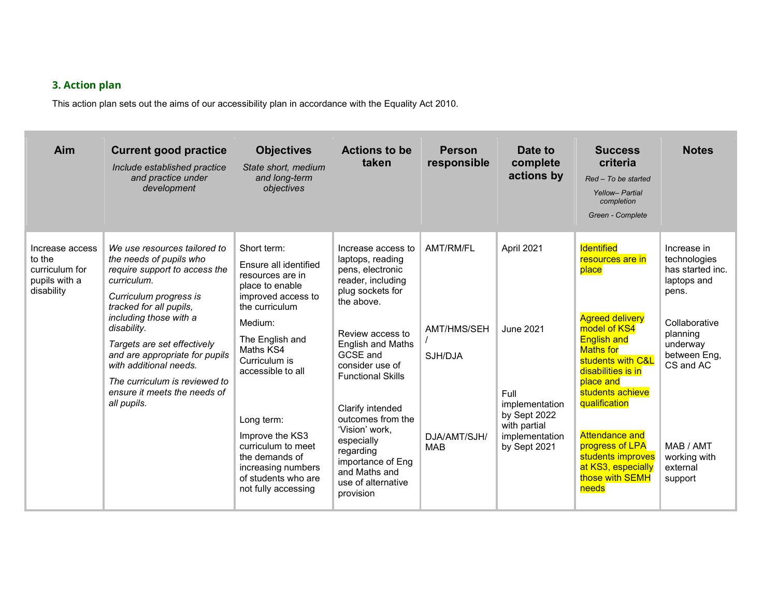## 3. Action plan

This action plan sets out the aims of our accessibility plan in accordance with the Equality Act 2010.

| Aim                                                                        | <b>Current good practice</b><br>Include established practice<br>and practice under<br>development                                                                                                                                                                                                                                                                                | <b>Objectives</b><br>State short, medium<br>and long-term<br>objectives                                                                                                                                                                                                                                                                           | <b>Actions to be</b><br>taken                                                                                                                                                                                                                                                                                                                                                               | <b>Person</b><br>responsible                               | Date to<br>complete<br>actions by                                                                                          | <b>Success</b><br>criteria<br>Red - To be started<br>Yellow- Partial<br>completion<br>Green - Complete                                                                                                                                                                                                                                                    | <b>Notes</b>                                                                                                                                                                                      |
|----------------------------------------------------------------------------|----------------------------------------------------------------------------------------------------------------------------------------------------------------------------------------------------------------------------------------------------------------------------------------------------------------------------------------------------------------------------------|---------------------------------------------------------------------------------------------------------------------------------------------------------------------------------------------------------------------------------------------------------------------------------------------------------------------------------------------------|---------------------------------------------------------------------------------------------------------------------------------------------------------------------------------------------------------------------------------------------------------------------------------------------------------------------------------------------------------------------------------------------|------------------------------------------------------------|----------------------------------------------------------------------------------------------------------------------------|-----------------------------------------------------------------------------------------------------------------------------------------------------------------------------------------------------------------------------------------------------------------------------------------------------------------------------------------------------------|---------------------------------------------------------------------------------------------------------------------------------------------------------------------------------------------------|
| Increase access<br>to the<br>curriculum for<br>pupils with a<br>disability | We use resources tailored to<br>the needs of pupils who<br>require support to access the<br>curriculum.<br>Curriculum progress is<br>tracked for all pupils,<br>including those with a<br>disability.<br>Targets are set effectively<br>and are appropriate for pupils<br>with additional needs.<br>The curriculum is reviewed to<br>ensure it meets the needs of<br>all pupils. | Short term:<br>Ensure all identified<br>resources are in<br>place to enable<br>improved access to<br>the curriculum<br>Medium:<br>The English and<br>Maths KS4<br>Curriculum is<br>accessible to all<br>Long term:<br>Improve the KS3<br>curriculum to meet<br>the demands of<br>increasing numbers<br>of students who are<br>not fully accessing | Increase access to<br>laptops, reading<br>pens, electronic<br>reader, including<br>plug sockets for<br>the above.<br>Review access to<br><b>English and Maths</b><br>GCSE and<br>consider use of<br><b>Functional Skills</b><br>Clarify intended<br>outcomes from the<br>'Vision' work,<br>especially<br>regarding<br>importance of Eng<br>and Maths and<br>use of alternative<br>provision | AMT/RM/FL<br>AMT/HMS/SEH<br>SJH/DJA<br>DJA/AMT/SJH/<br>MAB | April 2021<br><b>June 2021</b><br>Full<br>implementation<br>by Sept 2022<br>with partial<br>implementation<br>by Sept 2021 | <b>Identified</b><br>resources are in<br>place<br><b>Agreed delivery</b><br>model of KS4<br><b>English and</b><br><b>Maths for</b><br>students with C&L<br>disabilities is in<br>place and<br>students achieve<br>qualification<br><b>Attendance and</b><br>progress of LPA<br>students improves<br>at KS3, especially<br>those with SEMH<br><u>needs</u> | Increase in<br>technologies<br>has started inc.<br>laptops and<br>pens.<br>Collaborative<br>planning<br>underway<br>between Eng,<br>CS and AC<br>MAB / AMT<br>working with<br>external<br>support |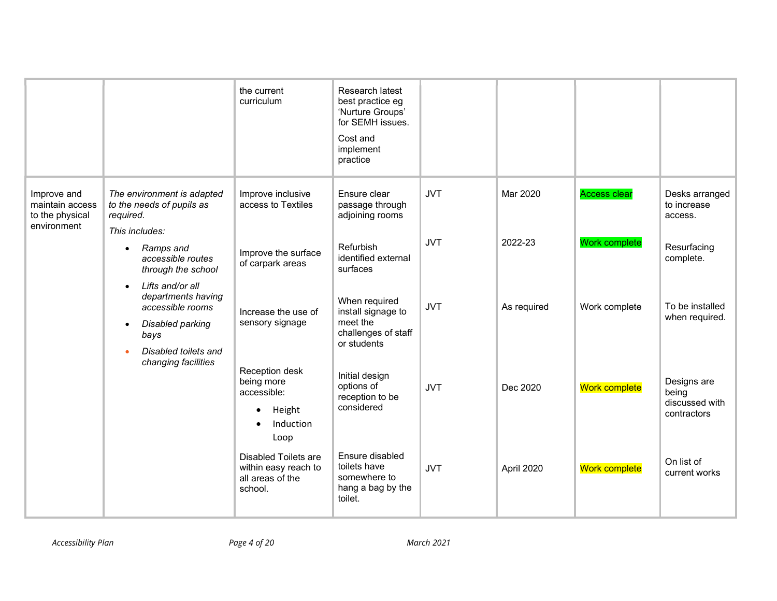|                                                                  |                                                                                                                             | the current<br>curriculum                                                           | Research latest<br>best practice eg<br>'Nurture Groups'<br>for SEMH issues.<br>Cost and<br>implement<br>practice |            |             |                      |                                                       |
|------------------------------------------------------------------|-----------------------------------------------------------------------------------------------------------------------------|-------------------------------------------------------------------------------------|------------------------------------------------------------------------------------------------------------------|------------|-------------|----------------------|-------------------------------------------------------|
| Improve and<br>maintain access<br>to the physical<br>environment | The environment is adapted<br>to the needs of pupils as<br>required.                                                        | Improve inclusive<br>access to Textiles                                             | Ensure clear<br>passage through<br>adjoining rooms                                                               | <b>JVT</b> | Mar 2020    | <b>Access clear</b>  | Desks arranged<br>to increase<br>access.              |
|                                                                  | This includes:<br>Ramps and<br>$\bullet$<br>accessible routes<br>through the school                                         | Improve the surface<br>of carpark areas                                             | Refurbish<br>identified external<br>surfaces                                                                     | <b>JVT</b> | 2022-23     | <b>Work complete</b> | Resurfacing<br>complete.                              |
|                                                                  | Lifts and/or all<br>departments having<br>accessible rooms<br>Disabled parking<br>$\bullet$<br>bays<br>Disabled toilets and | Increase the use of<br>sensory signage                                              | When required<br>install signage to<br>meet the<br>challenges of staff<br>or students                            | <b>JVT</b> | As required | Work complete        | To be installed<br>when required.                     |
|                                                                  | changing facilities                                                                                                         | Reception desk<br>being more<br>accessible:<br>Height<br>$\bullet$<br>Induction     | Initial design<br>options of<br>reception to be<br>considered                                                    | <b>JVT</b> | Dec 2020    | <b>Work complete</b> | Designs are<br>being<br>discussed with<br>contractors |
|                                                                  |                                                                                                                             | Loop<br>Disabled Toilets are<br>within easy reach to<br>all areas of the<br>school. | Ensure disabled<br>toilets have<br>somewhere to<br>hang a bag by the<br>toilet.                                  | <b>JVT</b> | April 2020  | Work complete        | On list of<br>current works                           |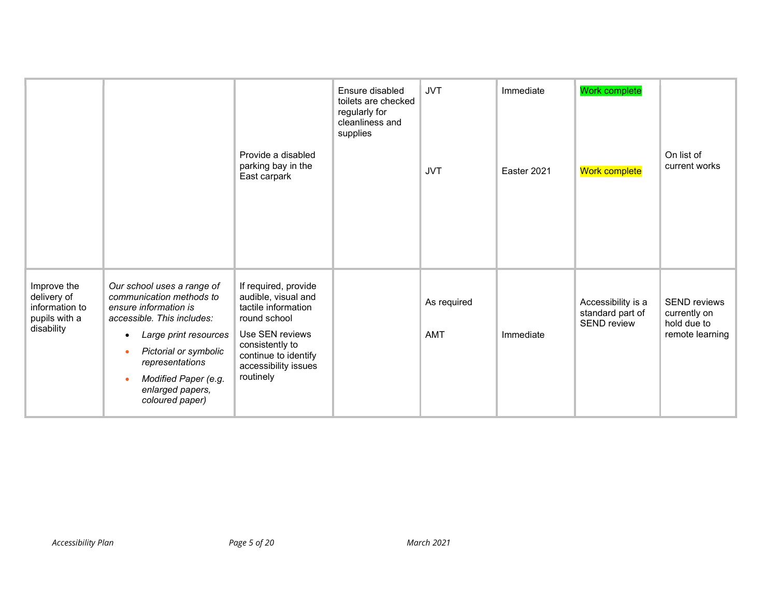|                                                                             |                                                                                                                                                                                                                                                        | Provide a disabled<br>parking bay in the<br>East carpark                                                                                                                              | Ensure disabled<br>toilets are checked<br>regularly for<br>cleanliness and<br>supplies | <b>JVT</b><br><b>JVT</b>  | Immediate<br>Easter 2021 | <b>Work complete</b><br>Work complete                        | On list of<br>current works                                           |
|-----------------------------------------------------------------------------|--------------------------------------------------------------------------------------------------------------------------------------------------------------------------------------------------------------------------------------------------------|---------------------------------------------------------------------------------------------------------------------------------------------------------------------------------------|----------------------------------------------------------------------------------------|---------------------------|--------------------------|--------------------------------------------------------------|-----------------------------------------------------------------------|
| Improve the<br>delivery of<br>information to<br>pupils with a<br>disability | Our school uses a range of<br>communication methods to<br>ensure information is<br>accessible. This includes:<br>Large print resources<br>٠<br>Pictorial or symbolic<br>representations<br>Modified Paper (e.g.<br>enlarged papers,<br>coloured paper) | If required, provide<br>audible, visual and<br>tactile information<br>round school<br>Use SEN reviews<br>consistently to<br>continue to identify<br>accessibility issues<br>routinely |                                                                                        | As required<br><b>AMT</b> | Immediate                | Accessibility is a<br>standard part of<br><b>SEND review</b> | <b>SEND reviews</b><br>currently on<br>hold due to<br>remote learning |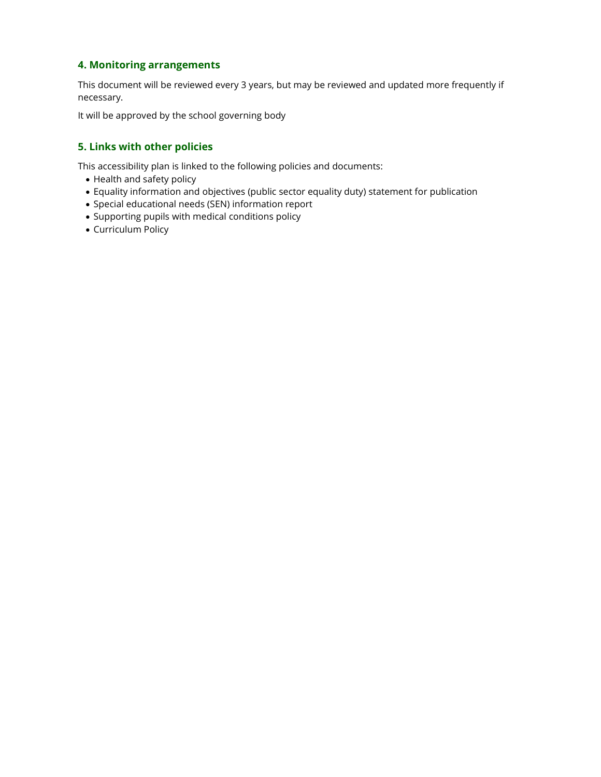#### 4. Monitoring arrangements

This document will be reviewed every 3 years, but may be reviewed and updated more frequently if necessary.

It will be approved by the school governing body

#### 5. Links with other policies

This accessibility plan is linked to the following policies and documents:

- Health and safety policy
- Equality information and objectives (public sector equality duty) statement for publication
- Special educational needs (SEN) information report
- Supporting pupils with medical conditions policy
- Curriculum Policy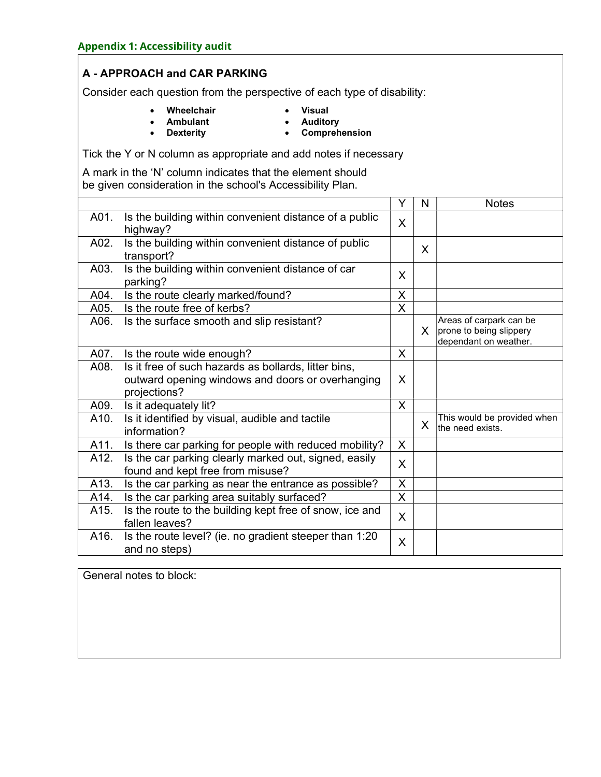#### Appendix 1: Accessibility audit

#### A - APPROACH and CAR PARKING

Consider each question from the perspective of each type of disability:

- Wheelchair
	- Visual Auditory
- Ambulant Dexterity
- Comprehension

Tick the Y or N column as appropriate and add notes if necessary

A mark in the 'N' column indicates that the element should be given consideration in the school's Accessibility Plan.

|      |                                                                                                                          | Y | N            | <b>Notes</b>                                                                |
|------|--------------------------------------------------------------------------------------------------------------------------|---|--------------|-----------------------------------------------------------------------------|
| A01. | Is the building within convenient distance of a public<br>highway?                                                       | X |              |                                                                             |
| A02. | Is the building within convenient distance of public<br>transport?                                                       |   | X            |                                                                             |
| A03. | Is the building within convenient distance of car<br>parking?                                                            | X |              |                                                                             |
| A04. | Is the route clearly marked/found?                                                                                       | X |              |                                                                             |
| A05. | Is the route free of kerbs?                                                                                              | X |              |                                                                             |
| A06. | Is the surface smooth and slip resistant?                                                                                |   | X.           | Areas of carpark can be<br>prone to being slippery<br>dependant on weather. |
| A07. | Is the route wide enough?                                                                                                | X |              |                                                                             |
| A08. | Is it free of such hazards as bollards, litter bins,<br>outward opening windows and doors or overhanging<br>projections? | X |              |                                                                             |
| A09. | Is it adequately lit?                                                                                                    | X |              |                                                                             |
| A10. | Is it identified by visual, audible and tactile<br>information?                                                          |   | $\mathsf{X}$ | This would be provided when<br>the need exists.                             |
| A11. | Is there car parking for people with reduced mobility?                                                                   | X |              |                                                                             |
| A12. | Is the car parking clearly marked out, signed, easily<br>found and kept free from misuse?                                | X |              |                                                                             |
| A13. | Is the car parking as near the entrance as possible?                                                                     | X |              |                                                                             |
| A14. | Is the car parking area suitably surfaced?                                                                               | X |              |                                                                             |
| A15. | Is the route to the building kept free of snow, ice and<br>fallen leaves?                                                | X |              |                                                                             |
| A16. | Is the route level? (ie. no gradient steeper than 1:20<br>and no steps)                                                  | X |              |                                                                             |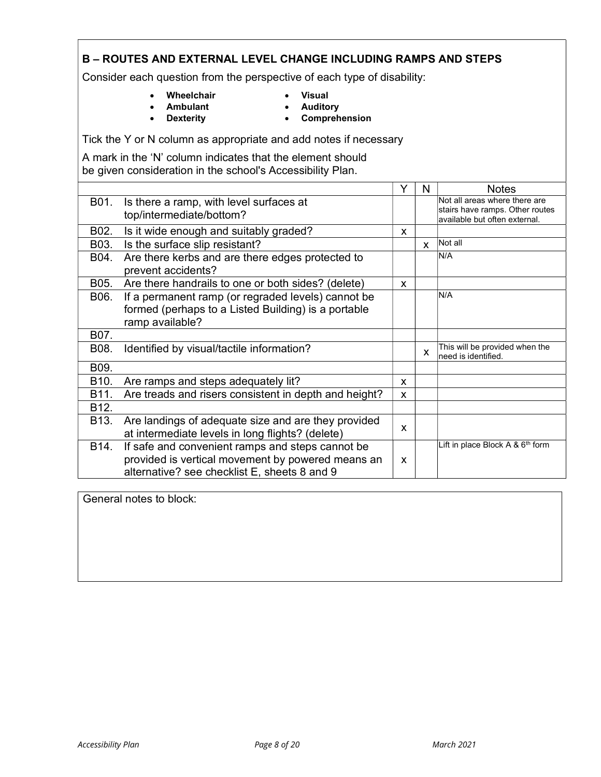## B – ROUTES AND EXTERNAL LEVEL CHANGE INCLUDING RAMPS AND STEPS

Consider each question from the perspective of each type of disability:

- Wheelchair
- Visual
- Ambulant
- Auditory
- Dexterity
- Comprehension

Tick the Y or N column as appropriate and add notes if necessary

A mark in the 'N' column indicates that the element should be given consideration in the school's Accessibility Plan.

|                   |                                                                                                                                                       | Y        | N | Notes                                                                                             |
|-------------------|-------------------------------------------------------------------------------------------------------------------------------------------------------|----------|---|---------------------------------------------------------------------------------------------------|
| B01.              | Is there a ramp, with level surfaces at<br>top/intermediate/bottom?                                                                                   |          |   | Not all areas where there are<br>stairs have ramps. Other routes<br>available but often external. |
| B02.              | Is it wide enough and suitably graded?                                                                                                                | X        |   |                                                                                                   |
| B03.              | Is the surface slip resistant?                                                                                                                        |          | X | Not all                                                                                           |
| B04.              | Are there kerbs and are there edges protected to<br>prevent accidents?                                                                                |          |   | N/A                                                                                               |
| B05.              | Are there handrails to one or both sides? (delete)                                                                                                    | <b>X</b> |   |                                                                                                   |
| B06.              | If a permanent ramp (or regraded levels) cannot be<br>formed (perhaps to a Listed Building) is a portable<br>ramp available?                          |          |   | N/A                                                                                               |
| B07.              |                                                                                                                                                       |          |   |                                                                                                   |
| B08.              | Identified by visual/tactile information?                                                                                                             |          | X | This will be provided when the<br>need is identified.                                             |
| B09.              |                                                                                                                                                       |          |   |                                                                                                   |
| B10.              | Are ramps and steps adequately lit?                                                                                                                   | X        |   |                                                                                                   |
| B11.              | Are treads and risers consistent in depth and height?                                                                                                 | X        |   |                                                                                                   |
| B <sub>12</sub> . |                                                                                                                                                       |          |   |                                                                                                   |
| B <sub>13</sub> . | Are landings of adequate size and are they provided<br>at intermediate levels in long flights? (delete)                                               | X        |   |                                                                                                   |
| B14.              | If safe and convenient ramps and steps cannot be<br>provided is vertical movement by powered means an<br>alternative? see checklist E, sheets 8 and 9 | X        |   | Lift in place Block A & $6th$ form                                                                |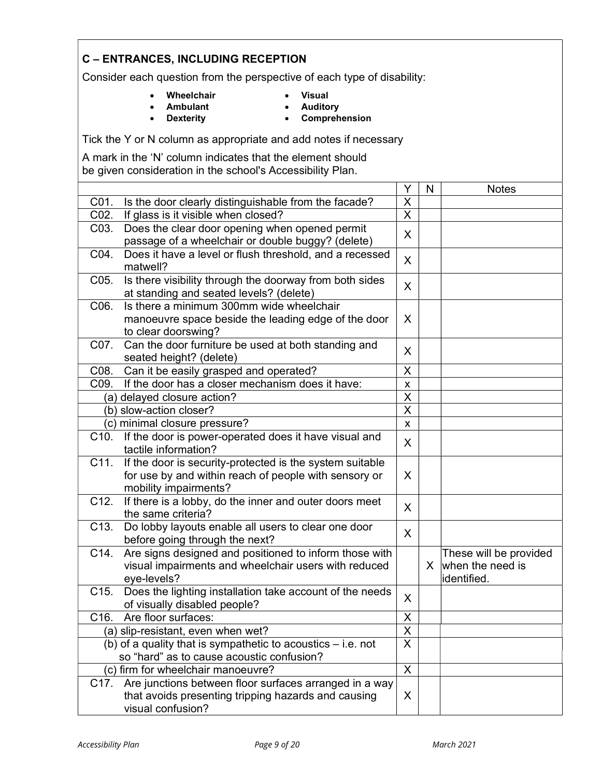## C – ENTRANCES, INCLUDING RECEPTION

Consider each question from the perspective of each type of disability:

- Wheelchair
- Visual
- Ambulant
- Auditory
- Dexterity
- Comprehension

Tick the Y or N column as appropriate and add notes if necessary

A mark in the 'N' column indicates that the element should be given consideration in the school's Accessibility Plan.

|                                                                                                                                                    | Υ                       | N | <b>Notes</b>                                                  |
|----------------------------------------------------------------------------------------------------------------------------------------------------|-------------------------|---|---------------------------------------------------------------|
| C01.<br>Is the door clearly distinguishable from the facade?                                                                                       | X                       |   |                                                               |
| C02.<br>If glass is it visible when closed?                                                                                                        | $\sf X$                 |   |                                                               |
| Does the clear door opening when opened permit<br>C03.                                                                                             | X                       |   |                                                               |
| passage of a wheelchair or double buggy? (delete)                                                                                                  |                         |   |                                                               |
| Does it have a level or flush threshold, and a recessed<br>C04.<br>matwell?                                                                        | X                       |   |                                                               |
| Is there visibility through the doorway from both sides<br>C05.<br>at standing and seated levels? (delete)                                         | X                       |   |                                                               |
| Is there a minimum 300mm wide wheelchair<br>C06.<br>manoeuvre space beside the leading edge of the door<br>to clear doorswing?                     | X                       |   |                                                               |
| Can the door furniture be used at both standing and<br>C07.<br>seated height? (delete)                                                             | X                       |   |                                                               |
| Can it be easily grasped and operated?<br>C08.                                                                                                     | X                       |   |                                                               |
| If the door has a closer mechanism does it have:<br>C09.                                                                                           | $\pmb{\mathsf{x}}$      |   |                                                               |
| delayed closure action?<br>(a)                                                                                                                     | $\overline{\mathsf{x}}$ |   |                                                               |
| (b) slow-action closer?                                                                                                                            | $\overline{\mathsf{x}}$ |   |                                                               |
| (c) minimal closure pressure?                                                                                                                      | $\mathsf{x}$            |   |                                                               |
| If the door is power-operated does it have visual and<br>C10.<br>tactile information?                                                              | X                       |   |                                                               |
| If the door is security-protected is the system suitable<br>C11.<br>for use by and within reach of people with sensory or<br>mobility impairments? | X                       |   |                                                               |
| C12.<br>If there is a lobby, do the inner and outer doors meet<br>the same criteria?                                                               | X                       |   |                                                               |
| C13.<br>Do lobby layouts enable all users to clear one door<br>before going through the next?                                                      | $\sf X$                 |   |                                                               |
| Are signs designed and positioned to inform those with<br>C14.<br>visual impairments and wheelchair users with reduced<br>eye-levels?              |                         |   | These will be provided<br>$X$ when the need is<br>identified. |
| Does the lighting installation take account of the needs<br>C <sub>15</sub> .<br>of visually disabled people?                                      | X                       |   |                                                               |
| C16.<br>Are floor surfaces:                                                                                                                        | X                       |   |                                                               |
| (a) slip-resistant, even when wet?                                                                                                                 | X                       |   |                                                               |
| (b) of a quality that is sympathetic to acoustics $-$ i.e. not                                                                                     | $\mathsf{X}$            |   |                                                               |
| so "hard" as to cause acoustic confusion?                                                                                                          |                         |   |                                                               |
| (c) firm for wheelchair manoeuvre?                                                                                                                 | X                       |   |                                                               |
| Are junctions between floor surfaces arranged in a way<br>C17.<br>that avoids presenting tripping hazards and causing<br>visual confusion?         | X                       |   |                                                               |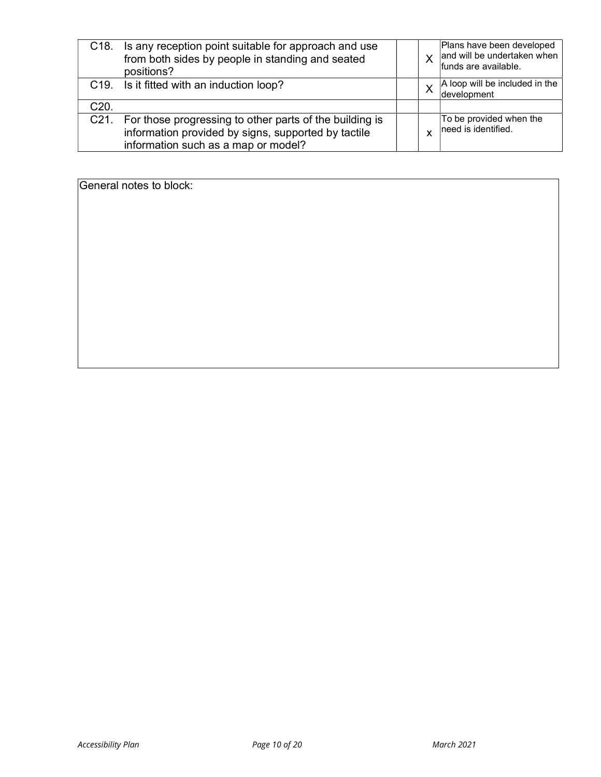|                   | C18. Is any reception point suitable for approach and use<br>from both sides by people in standing and seated<br>positions?                           |   | Plans have been developed<br>and will be undertaken when<br>funds are available. |
|-------------------|-------------------------------------------------------------------------------------------------------------------------------------------------------|---|----------------------------------------------------------------------------------|
|                   | C19. Is it fitted with an induction loop?                                                                                                             |   | A loop will be included in the<br>development                                    |
| C <sub>20</sub> . |                                                                                                                                                       |   |                                                                                  |
| C21.              | For those progressing to other parts of the building is<br>information provided by signs, supported by tactile<br>information such as a map or model? | X | To be provided when the<br>need is identified.                                   |
|                   |                                                                                                                                                       |   |                                                                                  |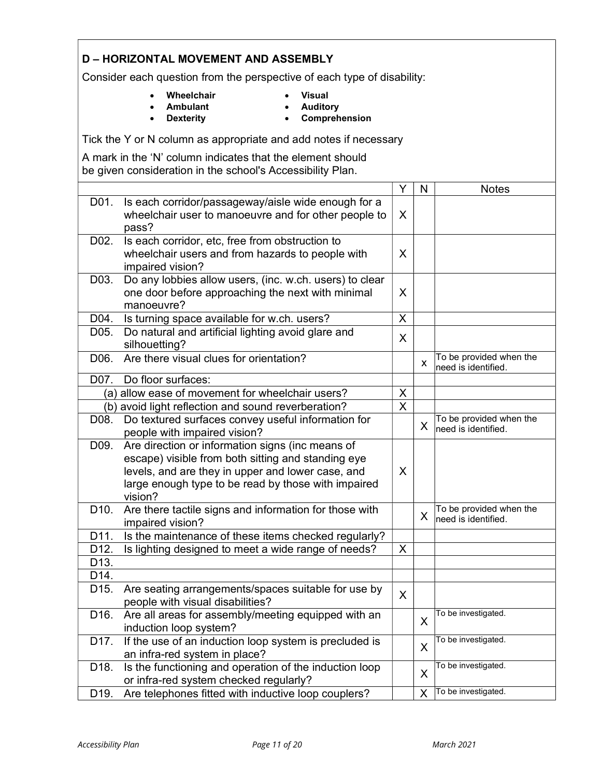|                           | <b>D-HORIZONTAL MOVEMENT AND ASSEMBLY</b>                                                                                                                                                                                     |   |   |                                                |
|---------------------------|-------------------------------------------------------------------------------------------------------------------------------------------------------------------------------------------------------------------------------|---|---|------------------------------------------------|
|                           | Consider each question from the perspective of each type of disability:                                                                                                                                                       |   |   |                                                |
|                           | Wheelchair<br><b>Visual</b><br>Ambulant<br><b>Auditory</b><br>Comprehension<br><b>Dexterity</b>                                                                                                                               |   |   |                                                |
|                           | Tick the Y or N column as appropriate and add notes if necessary                                                                                                                                                              |   |   |                                                |
|                           | A mark in the 'N' column indicates that the element should<br>be given consideration in the school's Accessibility Plan.                                                                                                      |   |   |                                                |
|                           |                                                                                                                                                                                                                               | Υ | N | <b>Notes</b>                                   |
| D01.                      | Is each corridor/passageway/aisle wide enough for a<br>wheelchair user to manoeuvre and for other people to<br>pass?                                                                                                          | X |   |                                                |
| D02.                      | Is each corridor, etc, free from obstruction to<br>wheelchair users and from hazards to people with<br>impaired vision?                                                                                                       | X |   |                                                |
| D03.                      | Do any lobbies allow users, (inc. w.ch. users) to clear<br>one door before approaching the next with minimal<br>manoeuvre?                                                                                                    | X |   |                                                |
| D04.                      | Is turning space available for w.ch. users?                                                                                                                                                                                   | X |   |                                                |
| D05.                      | Do natural and artificial lighting avoid glare and<br>silhouetting?                                                                                                                                                           | X |   |                                                |
| D06.                      | Are there visual clues for orientation?                                                                                                                                                                                       |   | x | To be provided when the<br>need is identified. |
| D07.                      | Do floor surfaces:                                                                                                                                                                                                            |   |   |                                                |
|                           | (a) allow ease of movement for wheelchair users?                                                                                                                                                                              | X |   |                                                |
|                           | (b) avoid light reflection and sound reverberation?                                                                                                                                                                           | Χ |   |                                                |
| D08.                      | Do textured surfaces convey useful information for<br>people with impaired vision?                                                                                                                                            |   | X | To be provided when the<br>need is identified. |
| D09.                      | Are direction or information signs (inc means of<br>escape) visible from both sitting and standing eye<br>levels, and are they in upper and lower case, and<br>large enough type to be read by those with impaired<br>vision? | X |   |                                                |
| D <sub>10</sub> .         | Are there tactile signs and information for those with<br>impaired vision?                                                                                                                                                    |   | X | To be provided when the<br>need is identified. |
| D11.                      | Is the maintenance of these items checked regularly?                                                                                                                                                                          |   |   |                                                |
| D12.<br>D <sub>13</sub> . | Is lighting designed to meet a wide range of needs?                                                                                                                                                                           | X |   |                                                |

D14.

D15. Are seating arrangements/spaces suitable for use by

D17. If the use of an induction loop system is precluded is

D18. Is the functioning and operation of the induction loop

Are seating arrangements/spaces suitable for use by  $\begin{array}{c|c} x \end{array}$ 

D16. Are all areas for assembly/meeting equipped with an  $\begin{vmatrix} x \end{vmatrix}$ 

If the use of an induction loop system is precided is  $\begin{vmatrix} x \\ y \end{vmatrix}$ 

or infra-red system checked regularly?

D19. Are telephones fitted with inductive loop couplers?  $\overline{X}$   $\overline{Y}$  To be investigated.

To be investigated.

To be investigated.

To be investigated.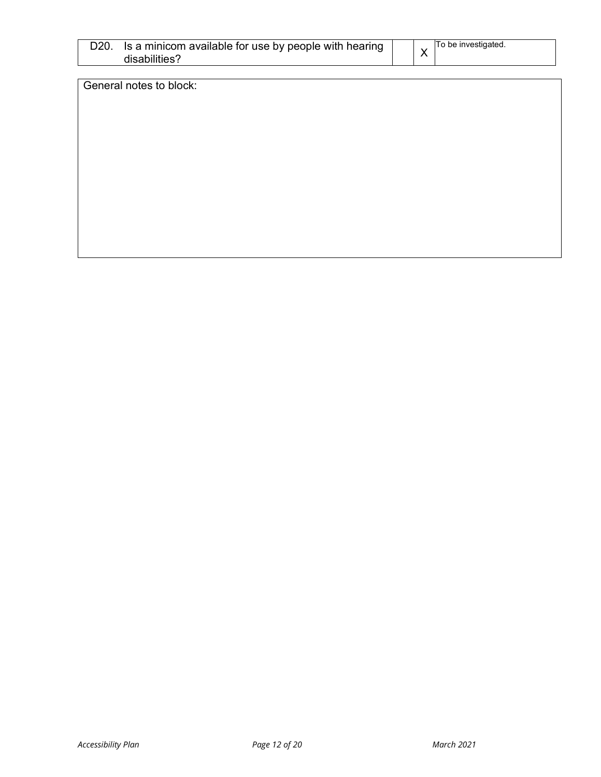| D <sub>20</sub> . | Is a minicom available for use by people with hearing<br>disabilities? | $\sf X$ | To be investigated. |
|-------------------|------------------------------------------------------------------------|---------|---------------------|
|                   | General notes to block:                                                |         |                     |
|                   |                                                                        |         |                     |
|                   |                                                                        |         |                     |
|                   |                                                                        |         |                     |
|                   |                                                                        |         |                     |
|                   |                                                                        |         |                     |
|                   |                                                                        |         |                     |
|                   |                                                                        |         |                     |
|                   |                                                                        |         |                     |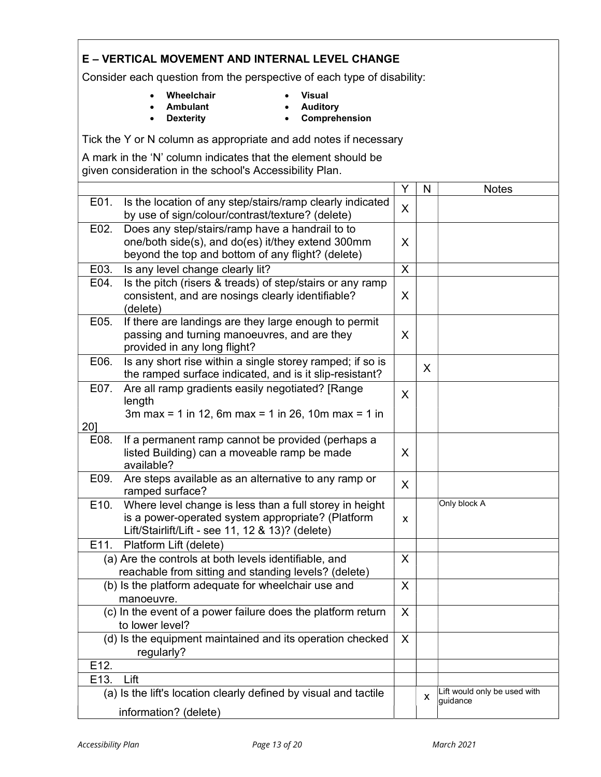## E – VERTICAL MOVEMENT AND INTERNAL LEVEL CHANGE

Consider each question from the perspective of each type of disability:

- Wheelchair
- Visual
- Ambulant
- Auditory
- Dexterity
- Comprehension
- 

Tick the Y or N column as appropriate and add notes if necessary

A mark in the 'N' column indicates that the element should be given consideration in the school's Accessibility Plan.

|                   |                                                                                                                                                                  | Y            | N | <b>Notes</b>                             |  |  |  |
|-------------------|------------------------------------------------------------------------------------------------------------------------------------------------------------------|--------------|---|------------------------------------------|--|--|--|
| E01.              | Is the location of any step/stairs/ramp clearly indicated<br>by use of sign/colour/contrast/texture? (delete)                                                    | $\sf X$      |   |                                          |  |  |  |
| E02.              | Does any step/stairs/ramp have a handrail to to<br>one/both side(s), and do(es) it/they extend 300mm<br>beyond the top and bottom of any flight? (delete)        | X            |   |                                          |  |  |  |
| E03.              | Is any level change clearly lit?                                                                                                                                 | X            |   |                                          |  |  |  |
| E04.              | Is the pitch (risers & treads) of step/stairs or any ramp<br>consistent, and are nosings clearly identifiable?<br>(delete)                                       | $\sf X$      |   |                                          |  |  |  |
| E05.              | If there are landings are they large enough to permit<br>passing and turning manoeuvres, and are they<br>provided in any long flight?                            | X            |   |                                          |  |  |  |
| E06.              | Is any short rise within a single storey ramped; if so is<br>the ramped surface indicated, and is it slip-resistant?                                             |              | X |                                          |  |  |  |
| E07.              | Are all ramp gradients easily negotiated? [Range<br>length<br>3m max = 1 in 12, 6m max = 1 in 26, 10m max = 1 in                                                 | X.           |   |                                          |  |  |  |
| 20]               |                                                                                                                                                                  |              |   |                                          |  |  |  |
| E08.              | If a permanent ramp cannot be provided (perhaps a<br>listed Building) can a moveable ramp be made<br>available?                                                  | X            |   |                                          |  |  |  |
| E09.              | Are steps available as an alternative to any ramp or<br>ramped surface?                                                                                          | $\mathsf{X}$ |   |                                          |  |  |  |
| E <sub>10</sub> . | Where level change is less than a full storey in height<br>is a power-operated system appropriate? (Platform<br>Lift/Stairlift/Lift - see 11, 12 & 13)? (delete) | X            |   | Only block A                             |  |  |  |
| E11.              | Platform Lift (delete)                                                                                                                                           |              |   |                                          |  |  |  |
|                   | (a) Are the controls at both levels identifiable, and<br>reachable from sitting and standing levels? (delete)                                                    | X.           |   |                                          |  |  |  |
|                   | (b) Is the platform adequate for wheelchair use and<br>manoeuvre.                                                                                                | X            |   |                                          |  |  |  |
|                   | (c) In the event of a power failure does the platform return<br>to lower level?                                                                                  | X            |   |                                          |  |  |  |
|                   | (d) Is the equipment maintained and its operation checked<br>regularly?                                                                                          | X            |   |                                          |  |  |  |
| E12.              |                                                                                                                                                                  |              |   |                                          |  |  |  |
| E13.              | Lift                                                                                                                                                             |              |   |                                          |  |  |  |
|                   | (a) Is the lift's location clearly defined by visual and tactile                                                                                                 |              | х | Lift would only be used with<br>quidance |  |  |  |
|                   | information? (delete)                                                                                                                                            |              |   |                                          |  |  |  |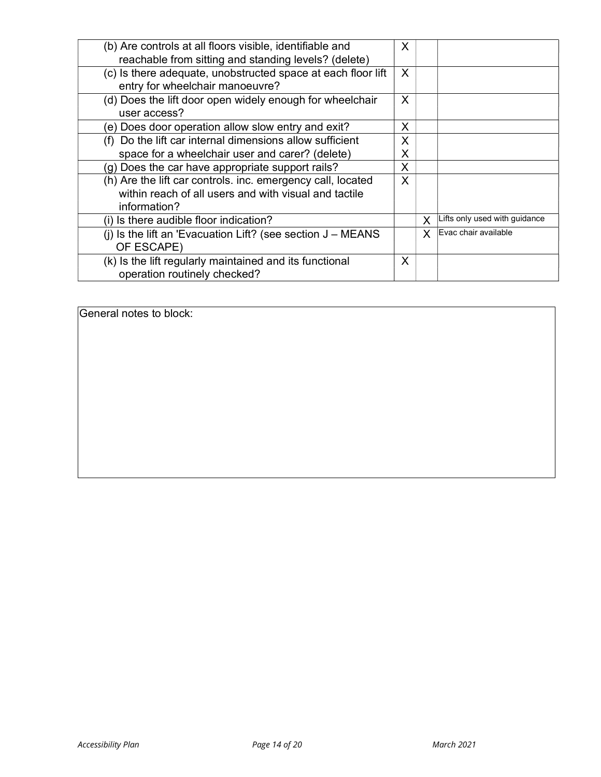| (b) Are controls at all floors visible, identifiable and<br>reachable from sitting and standing levels? (delete)                     | X            |   |                               |
|--------------------------------------------------------------------------------------------------------------------------------------|--------------|---|-------------------------------|
| (c) Is there adequate, unobstructed space at each floor lift<br>entry for wheelchair manoeuvre?                                      | X            |   |                               |
| (d) Does the lift door open widely enough for wheelchair<br>user access?                                                             | X            |   |                               |
| (e) Does door operation allow slow entry and exit?                                                                                   | X            |   |                               |
| (f) Do the lift car internal dimensions allow sufficient                                                                             | X            |   |                               |
| space for a wheelchair user and carer? (delete)                                                                                      | Χ            |   |                               |
| (g) Does the car have appropriate support rails?                                                                                     | X            |   |                               |
| (h) Are the lift car controls. inc. emergency call, located<br>within reach of all users and with visual and tactile<br>information? | $\mathsf{X}$ |   |                               |
| (i) Is there audible floor indication?                                                                                               |              | X | Lifts only used with guidance |
| (i) Is the lift an 'Evacuation Lift? (see section $J - MEANS$<br>OF ESCAPE)                                                          |              | X | Evac chair available          |
| (k) Is the lift regularly maintained and its functional<br>operation routinely checked?                                              | X            |   |                               |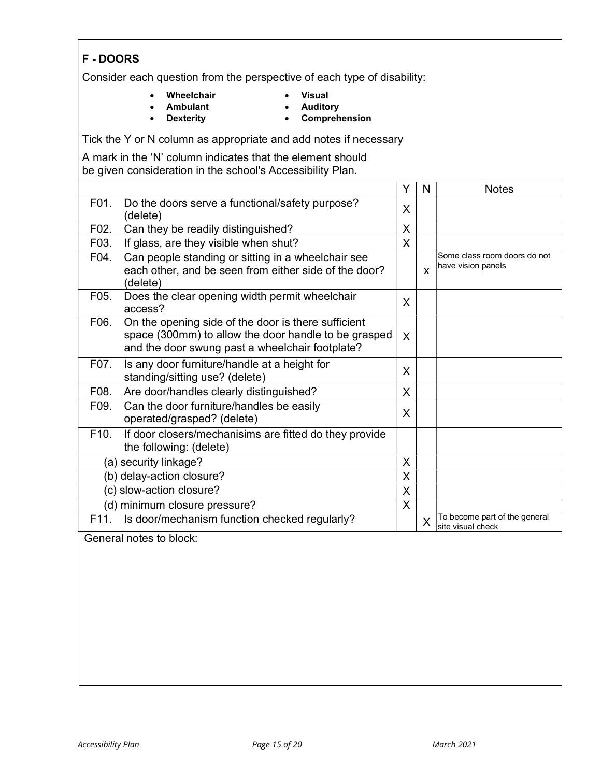| <b>F-DOORS</b>                                                          |                                                                                                                                                                |         |   |                                                    |  |
|-------------------------------------------------------------------------|----------------------------------------------------------------------------------------------------------------------------------------------------------------|---------|---|----------------------------------------------------|--|
| Consider each question from the perspective of each type of disability: |                                                                                                                                                                |         |   |                                                    |  |
|                                                                         | Wheelchair<br><b>Visual</b><br><b>Ambulant</b><br><b>Auditory</b><br>Comprehension<br><b>Dexterity</b>                                                         |         |   |                                                    |  |
|                                                                         | Tick the Y or N column as appropriate and add notes if necessary                                                                                               |         |   |                                                    |  |
|                                                                         | A mark in the 'N' column indicates that the element should<br>be given consideration in the school's Accessibility Plan.                                       |         |   |                                                    |  |
|                                                                         |                                                                                                                                                                | Y       | N | <b>Notes</b>                                       |  |
| F01.                                                                    | Do the doors serve a functional/safety purpose?<br>(delete)                                                                                                    | X       |   |                                                    |  |
| F02.                                                                    | Can they be readily distinguished?                                                                                                                             | X       |   |                                                    |  |
| F03.                                                                    | If glass, are they visible when shut?                                                                                                                          | $\sf X$ |   |                                                    |  |
| F04.                                                                    | Can people standing or sitting in a wheelchair see<br>each other, and be seen from either side of the door?<br>(delete)                                        |         | X | Some class room doors do not<br>have vision panels |  |
| F05.                                                                    | Does the clear opening width permit wheelchair<br>access?                                                                                                      | X       |   |                                                    |  |
| F06.                                                                    | On the opening side of the door is there sufficient<br>space (300mm) to allow the door handle to be grasped<br>and the door swung past a wheelchair footplate? | X       |   |                                                    |  |
| F07.                                                                    | Is any door furniture/handle at a height for<br>standing/sitting use? (delete)                                                                                 | X       |   |                                                    |  |
| F08.                                                                    | Are door/handles clearly distinguished?                                                                                                                        | X       |   |                                                    |  |
| F09.                                                                    | Can the door furniture/handles be easily<br>operated/grasped? (delete)                                                                                         | X       |   |                                                    |  |
| F10.                                                                    | If door closers/mechanisims are fitted do they provide<br>the following: (delete)                                                                              |         |   |                                                    |  |
|                                                                         | (a) security linkage?                                                                                                                                          | X       |   |                                                    |  |
|                                                                         | (b) delay-action closure?                                                                                                                                      | X       |   |                                                    |  |
|                                                                         | (c) slow-action closure?                                                                                                                                       | X       |   |                                                    |  |
|                                                                         | (d) minimum closure pressure?                                                                                                                                  | X       |   |                                                    |  |
| F11.                                                                    | Is door/mechanism function checked regularly?                                                                                                                  |         | X | To become part of the general<br>site visual check |  |
| General notes to block:                                                 |                                                                                                                                                                |         |   |                                                    |  |
|                                                                         |                                                                                                                                                                |         |   |                                                    |  |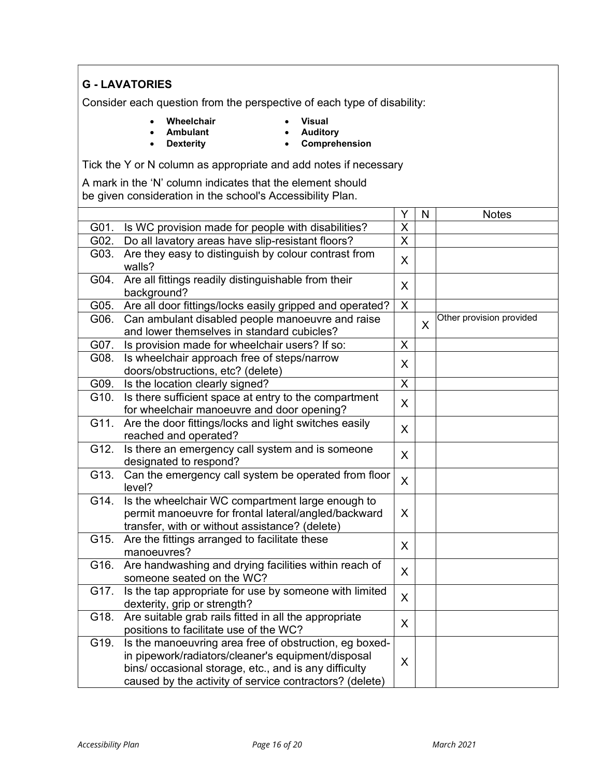## G - LAVATORIES

Consider each question from the perspective of each type of disability:

- Wheelchair
- Wheelchair<br>• Ambulant<br>• Dexterity
- Visual Auditory
- Dexterity
- Comprehension
- Tick the Y or N column as appropriate and add notes if necessary

A mark in the 'N' column indicates that the element should be given consideration in the school's Accessibility Plan.

|      |                                                                                                                                                                                                                                  | Y                       | N | <b>Notes</b>             |
|------|----------------------------------------------------------------------------------------------------------------------------------------------------------------------------------------------------------------------------------|-------------------------|---|--------------------------|
| G01. | Is WC provision made for people with disabilities?                                                                                                                                                                               | $\overline{X}$          |   |                          |
| G02. | Do all lavatory areas have slip-resistant floors?                                                                                                                                                                                | $\overline{\mathsf{x}}$ |   |                          |
| G03. | Are they easy to distinguish by colour contrast from<br>walls?                                                                                                                                                                   | X                       |   |                          |
| G04. | Are all fittings readily distinguishable from their<br>background?                                                                                                                                                               | X                       |   |                          |
| G05. | Are all door fittings/locks easily gripped and operated?                                                                                                                                                                         | $\mathsf X$             |   |                          |
| G06. | Can ambulant disabled people manoeuvre and raise<br>and lower themselves in standard cubicles?                                                                                                                                   |                         | X | Other provision provided |
| G07. | Is provision made for wheelchair users? If so:                                                                                                                                                                                   | X                       |   |                          |
| G08. | Is wheelchair approach free of steps/narrow<br>doors/obstructions, etc? (delete)                                                                                                                                                 | X                       |   |                          |
| G09. | Is the location clearly signed?                                                                                                                                                                                                  | $\overline{\mathsf{X}}$ |   |                          |
| G10. | Is there sufficient space at entry to the compartment<br>for wheelchair manoeuvre and door opening?                                                                                                                              | X                       |   |                          |
| G11. | Are the door fittings/locks and light switches easily<br>reached and operated?                                                                                                                                                   | $\mathsf{X}$            |   |                          |
| G12. | Is there an emergency call system and is someone<br>designated to respond?                                                                                                                                                       | X                       |   |                          |
| G13. | Can the emergency call system be operated from floor<br>level?                                                                                                                                                                   | $\sf X$                 |   |                          |
| G14. | Is the wheelchair WC compartment large enough to<br>permit manoeuvre for frontal lateral/angled/backward<br>transfer, with or without assistance? (delete)                                                                       | X                       |   |                          |
| G15. | Are the fittings arranged to facilitate these<br>manoeuvres?                                                                                                                                                                     | $\sf X$                 |   |                          |
| G16. | Are handwashing and drying facilities within reach of<br>someone seated on the WC?                                                                                                                                               | $\mathsf{X}$            |   |                          |
| G17. | Is the tap appropriate for use by someone with limited<br>dexterity, grip or strength?                                                                                                                                           | $\mathsf{X}$            |   |                          |
| G18. | Are suitable grab rails fitted in all the appropriate<br>positions to facilitate use of the WC?                                                                                                                                  | $\mathsf{X}$            |   |                          |
| G19. | Is the manoeuvring area free of obstruction, eg boxed-<br>in pipework/radiators/cleaner's equipment/disposal<br>bins/ occasional storage, etc., and is any difficulty<br>caused by the activity of service contractors? (delete) | X                       |   |                          |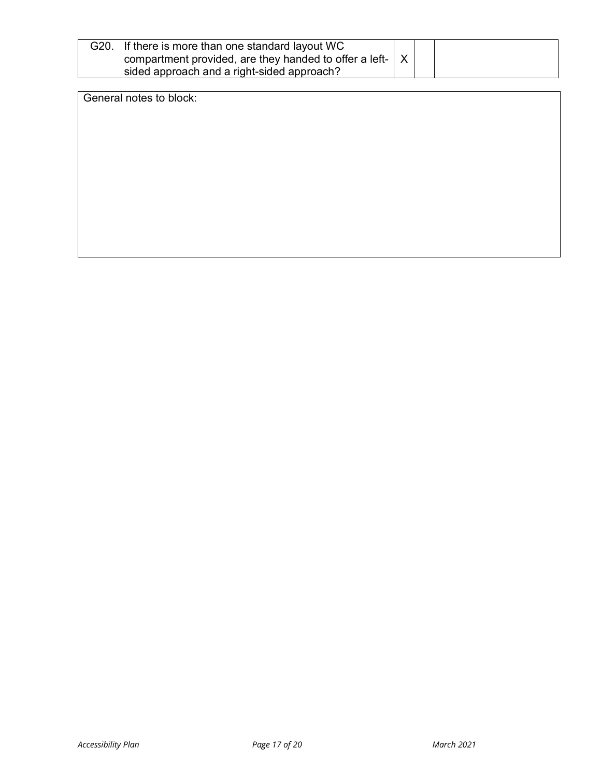| If there is more than one standard layout WC<br>G20.<br>compartment provided, are they handed to offer a left- $\mid$ X<br>sided approach and a right-sided approach? |  |  |  |
|-----------------------------------------------------------------------------------------------------------------------------------------------------------------------|--|--|--|
|-----------------------------------------------------------------------------------------------------------------------------------------------------------------------|--|--|--|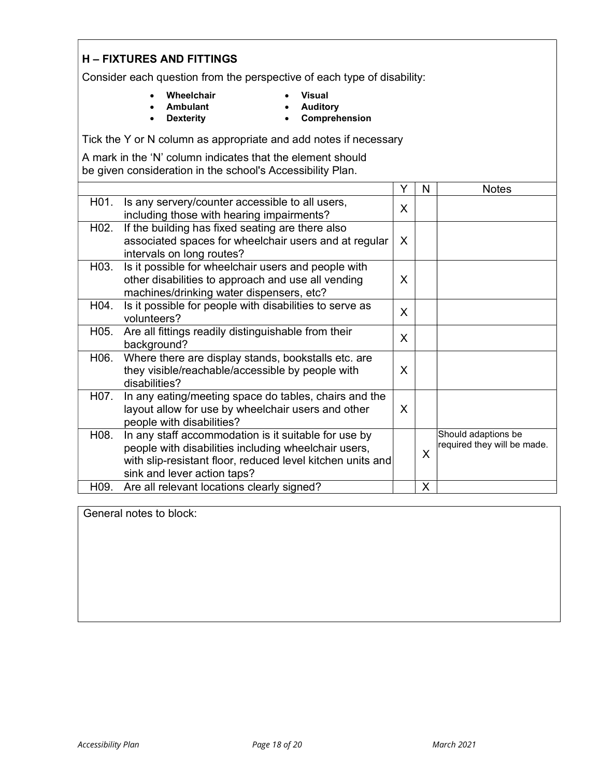## H – FIXTURES AND FITTINGS

Consider each question from the perspective of each type of disability:

- Wheelchair
- Visual
- Ambulant
- 
- Dexterity
- Auditory Comprehension
- 

Tick the Y or N column as appropriate and add notes if necessary

A mark in the 'N' column indicates that the element should be given consideration in the school's Accessibility Plan.

|                   |                                                                                                                                                                                                           | Υ | N | <b>Notes</b>                                       |
|-------------------|-----------------------------------------------------------------------------------------------------------------------------------------------------------------------------------------------------------|---|---|----------------------------------------------------|
| H01.              | Is any servery/counter accessible to all users,<br>including those with hearing impairments?                                                                                                              | X |   |                                                    |
| H <sub>02</sub> . | If the building has fixed seating are there also<br>associated spaces for wheelchair users and at regular<br>intervals on long routes?                                                                    | X |   |                                                    |
| H <sub>0</sub> 3. | Is it possible for wheelchair users and people with<br>other disabilities to approach and use all vending<br>machines/drinking water dispensers, etc?                                                     | X |   |                                                    |
| H04.              | Is it possible for people with disabilities to serve as<br>volunteers?                                                                                                                                    | X |   |                                                    |
| H05.              | Are all fittings readily distinguishable from their<br>background?                                                                                                                                        | X |   |                                                    |
| H06.              | Where there are display stands, bookstalls etc. are<br>they visible/reachable/accessible by people with<br>disabilities?                                                                                  | X |   |                                                    |
| H07.              | In any eating/meeting space do tables, chairs and the<br>layout allow for use by wheelchair users and other<br>people with disabilities?                                                                  | X |   |                                                    |
| H <sub>0</sub> 8. | In any staff accommodation is it suitable for use by<br>people with disabilities including wheelchair users,<br>with slip-resistant floor, reduced level kitchen units and<br>sink and lever action taps? |   | X | Should adaptions be<br>required they will be made. |
| H <sub>09</sub> . | Are all relevant locations clearly signed?                                                                                                                                                                |   | X |                                                    |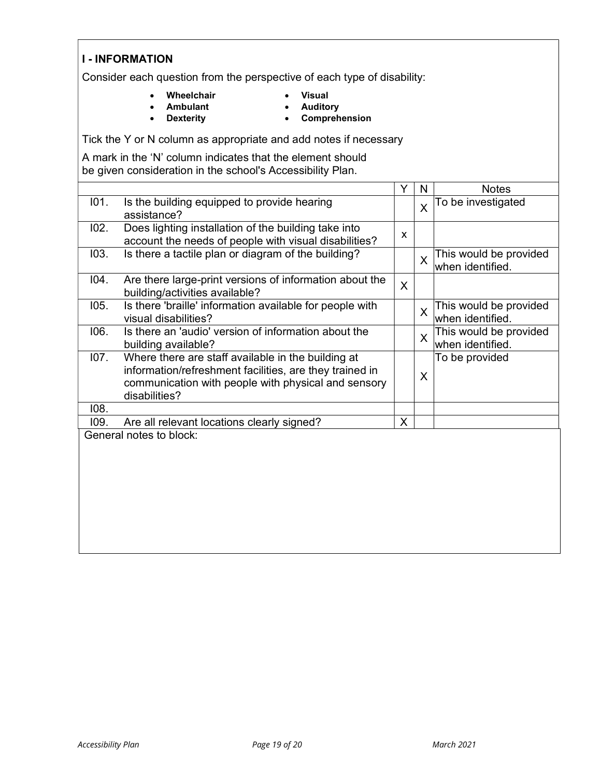I - INFORMATION Consider each question from the perspective of each type of disability: Tick the Y or N column as appropriate and add notes if necessary A mark in the 'N' column indicates that the element should be given consideration in the school's Accessibility Plan. Y N Notes I01. Is the building equipped to provide hearing  $\begin{array}{c|c} | & x \\ \hline \end{array}$  To be investigated assistance? I02. Does lighting installation of the building take into  $\frac{1}{2}$  account the needs of people with visual disabilities?  $\begin{bmatrix} x \\ y \end{bmatrix}$ I03. Is there a tactile plan or diagram of the building?  $\frac{1}{x}$  This would be provided when identified. I04. Are there large-print versions of information about the Are there large-print versions or information about the  $\begin{bmatrix} X \end{bmatrix}$ I05. Is there 'braille' information available for people with  $\begin{array}{c|c} \begin{array}{c} \begin{array}{c} \end{array} & \begin{array}{c} \end{array} & \begin{array}{c} \end{array} & \begin{array}{c} \end{array} & \begin{array}{c} \end{array} & \begin{array}{c} \end{array} & \begin{array}{c} \end{array} & \begin{array}{c} \end{array} & \begin{array}{c} \end{array} & \begin{array}{c} \end{array} & \begin{array}{c} \end{array}$ when identified. I06. Is there an 'audio' version of information about the  $\begin{array}{c|c} \begin{array}{c} \begin{array}{c} \end{array} & X \end{array}$  This would be provided building available? when identified. I07. Where there are staff available in the building at information/refreshment facilities, are they trained in communication with people with physical and sensory disabilities? X To be provided I08.  $109.$  Are all relevant locations clearly signed?  $X$ General notes to block: Wheelchair Ambulant Dexterity Visual Auditory Comprehension